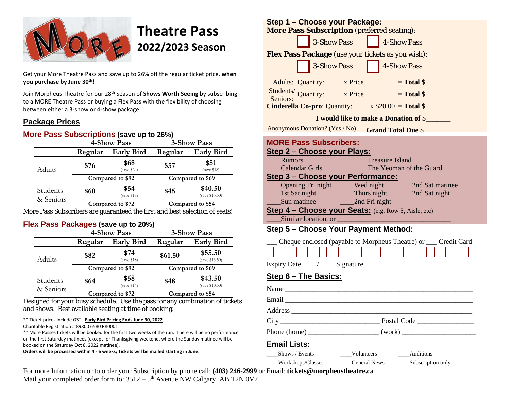

# **Theatre Pass 2022/2023 Season**

Get your More Theatre Pass and save up to 26% off the regular ticket price, **when you purchase by June 30th!**

Join Morpheus Theatre for our 28th Season of **Shows Worth Seeing** by subscribing to a MORE Theatre Pass or buying a Flex Pass with the flexibility of choosing between either a 3-show or 4-show package.

#### **Package Prices**

#### **More Pass Subscriptions (save up to 26%)**

|                       |         | 4-Show Pass         | 3-Show Pass      |                           |  |  |
|-----------------------|---------|---------------------|------------------|---------------------------|--|--|
|                       | Regular | <b>Early Bird</b>   | Regular          | <b>Early Bird</b>         |  |  |
| Adults                | \$76    | \$68<br>(save \$24) | \$57             | \$51<br>(save \$18)       |  |  |
|                       |         | Compared to \$92    | Compared to \$69 |                           |  |  |
| Students<br>& Seniors | \$60    | \$54<br>(save \$18) | \$45             | \$40.50<br>(save \$13.50) |  |  |
|                       |         | Compared to \$72    | Compared to \$54 |                           |  |  |

More Pass Subscribers are guaranteed the first and best selection of seats!

#### **Flex Pass Packages (save up to 20%)**

|                       |         | 4-Show Pass<br><b>3-Show Pass</b> |                  |                           |  |  |
|-----------------------|---------|-----------------------------------|------------------|---------------------------|--|--|
|                       | Regular | <b>Early Bird</b>                 | Regular          | <b>Early Bird</b>         |  |  |
| Adults                | \$82    | \$74<br>(save \$18)               | \$61.50          | \$55.50<br>(save \$13.50) |  |  |
|                       |         | Compared to \$92                  | Compared to \$69 |                           |  |  |
| Students<br>& Seniors | \$64    | \$58<br>(save \$14)               | \$48             | \$43.50<br>(save \$10.50) |  |  |
|                       |         | Compared to \$72                  | Compared to \$54 |                           |  |  |

Designed for your busy schedule. Use the pass for any combination of tickets and shows. Best available seating at time of booking.

#### \*\* Ticket prices include GST. **Early Bird Pricing Ends June 30, 2022**.

Charitable Registration # 89800 6580 RR0001

\*\* More Passes tickets will be booked for the first two weeks of the run. There will be no performance on the first Saturday matinees (except for Thanksgiving weekend, where the Sunday matinee will be booked on the Saturday Oct 8, 2022 matinee).

**Orders will be processed within 4 - 6 weeks; Tickets will be mailed starting in June.**

| <u>Step 1 – Choose your Package:</u>                                    |                           |  |  |  |  |  |  |  |
|-------------------------------------------------------------------------|---------------------------|--|--|--|--|--|--|--|
| <b>More Pass Subscription</b> (preferred seating):                      |                           |  |  |  |  |  |  |  |
| 3-Show Pass 4-Show Pass                                                 |                           |  |  |  |  |  |  |  |
| Flex Pass Package (use your tickets as you wish):                       |                           |  |  |  |  |  |  |  |
| 3-Show Pass 4-Show Pass                                                 |                           |  |  |  |  |  |  |  |
| Adults: Quantity: x Price ________ = Total \$                           |                           |  |  |  |  |  |  |  |
| Students/ Quantity: $x \text{ Price}$ = Total \$                        |                           |  |  |  |  |  |  |  |
| <b>Cinderella Co-pro:</b> Quantity: $\_\_\ x$ \$20.00 = <b>Total</b> \$ |                           |  |  |  |  |  |  |  |
| <b>I</b> would like to make a Donation of \$                            |                           |  |  |  |  |  |  |  |
| Anonymous Donation? (Yes / No)                                          | <b>Grand Total Due \$</b> |  |  |  |  |  |  |  |

#### **MORE Pass Subscribers:**

#### **Step 2 – Choose your Plays:**

| <b>Rumors</b>                                               | <b>Treasure Island</b> |                         |  |  |  |  |  |  |
|-------------------------------------------------------------|------------------------|-------------------------|--|--|--|--|--|--|
| <b>Calendar Girls</b>                                       |                        | The Yeoman of the Guard |  |  |  |  |  |  |
| Step 3 - Choose your Performance:                           |                        |                         |  |  |  |  |  |  |
| Opening Fri night                                           | Wed night              | 2nd Sat matinee         |  |  |  |  |  |  |
| $_$ lst Sat night                                           | Thurs night            | 2nd Sat night           |  |  |  |  |  |  |
| Sun matinee                                                 | 2nd Fri night          |                         |  |  |  |  |  |  |
| <b>Step 4 – Choose your Seats:</b> (e.g. Row 5, Aisle, etc) |                        |                         |  |  |  |  |  |  |
| Similar location, or                                        |                        |                         |  |  |  |  |  |  |

### **Step 5 – Choose Your Payment Method:**

| Cheque enclosed (payable to Morpheus Theatre) or ___ Credit Card |                                 |  |  |  |  |  |  |  |  |  |  |  |  |  |  |  |  |  |  |  |
|------------------------------------------------------------------|---------------------------------|--|--|--|--|--|--|--|--|--|--|--|--|--|--|--|--|--|--|--|
|                                                                  |                                 |  |  |  |  |  |  |  |  |  |  |  |  |  |  |  |  |  |  |  |
|                                                                  | <b>Expiry Date</b><br>Signature |  |  |  |  |  |  |  |  |  |  |  |  |  |  |  |  |  |  |  |

#### **Step 6 – The Basics:**

|                     | Phone (home) $\frac{1}{\sqrt{1-\frac{1}{2}}\sqrt{1-\frac{1}{2}}\sqrt{1-\frac{1}{2}}\sqrt{1-\frac{1}{2}}\sqrt{1-\frac{1}{2}}\sqrt{1-\frac{1}{2}}\sqrt{1-\frac{1}{2}}\sqrt{1-\frac{1}{2}}\sqrt{1-\frac{1}{2}}\sqrt{1-\frac{1}{2}}\sqrt{1-\frac{1}{2}}\sqrt{1-\frac{1}{2}}\sqrt{1-\frac{1}{2}}\sqrt{1-\frac{1}{2}}\sqrt{1-\frac{1}{2}}\sqrt{1-\frac{1}{2}}\sqrt{1-\frac{1}{2}}\sqrt{1-\frac{1}{2}}\sqrt{1$ |  |
|---------------------|---------------------------------------------------------------------------------------------------------------------------------------------------------------------------------------------------------------------------------------------------------------------------------------------------------------------------------------------------------------------------------------------------------|--|
| <b>Email Lists:</b> |                                                                                                                                                                                                                                                                                                                                                                                                         |  |
| _____Shows / Events | Volunteers Auditions                                                                                                                                                                                                                                                                                                                                                                                    |  |

Workshops/Classes General News Subscription only

For more Information or to order your Subscription by phone call: **(403) 246-2999** or Email: **tickets@morpheustheatre.ca** Mail your completed order form to:  $3512 - 5$ <sup>th</sup> Avenue NW Calgary, AB T2N 0V7